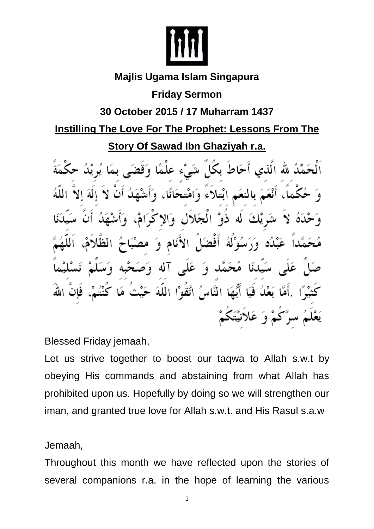

# **Majlis Ugama Islam Singapura**

**Friday Sermon**

## **30 October 2015 / 17 Muharram 1437**

## **Instilling The Love For The Prophet: Lessons From The**

**Story Of Sawad Ibn Ghaziyah r.a.**

ٱلْحَمْدُ لله الَّذِي أَحَاطُ بِكَلِّ شَيْءٍ عِلْمًا وَقَضَ کو پُکُ أنْعَمَ بالنعَمِ ابْتلأَءَ وَامْتحَا نا ، له ذوْ الْجَلال وَالا ڭ أفضًا الأ نَام وَ آله وَء سَيَدْنَا مُحَمَّد وَ عَلَى فَيَا أَيُّهَا النَّاسُ اتَّقَوْا اللَّهَ كَمْ وَ عَلاَنيَّتَكُمْ

Blessed Friday jemaah,

Let us strive together to boost our taqwa to Allah s.w.t by obeying His commands and abstaining from what Allah has prohibited upon us. Hopefully by doing so we will strengthen our iman, and granted true love for Allah s.w.t. and His Rasul s.a.w

Jemaah,

Throughout this month we have reflected upon the stories of several companions r.a. in the hope of learning the various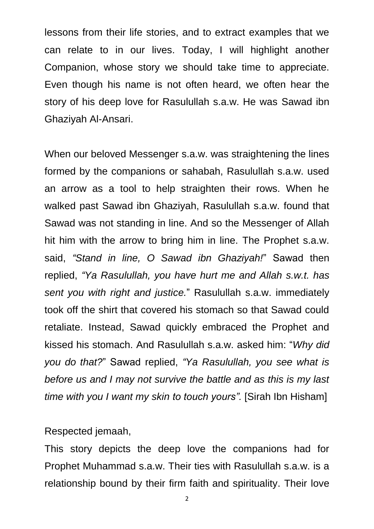lessons from their life stories, and to extract examples that we can relate to in our lives. Today, I will highlight another Companion, whose story we should take time to appreciate. Even though his name is not often heard, we often hear the story of his deep love for Rasulullah s.a.w. He was Sawad ibn Ghaziyah Al-Ansari.

When our beloved Messenger s.a.w. was straightening the lines formed by the companions or sahabah, Rasulullah s.a.w. used an arrow as a tool to help straighten their rows. When he walked past Sawad ibn Ghaziyah, Rasulullah s.a.w. found that Sawad was not standing in line. And so the Messenger of Allah hit him with the arrow to bring him in line. The Prophet s.a.w. said, *"Stand in line, O Sawad ibn Ghaziyah!*" Sawad then replied, *"Ya Rasulullah, you have hurt me and Allah s.w.t. has sent you with right and justice.*" Rasulullah s.a.w. immediately took off the shirt that covered his stomach so that Sawad could retaliate. Instead, Sawad quickly embraced the Prophet and kissed his stomach. And Rasulullah s.a.w. asked him: "*Why did you do that?*" Sawad replied, *"Ya Rasulullah, you see what is before us and I may not survive the battle and as this is my last time with you I want my skin to touch yours".* [Sirah Ibn Hisham]

#### Respected jemaah,

This story depicts the deep love the companions had for Prophet Muhammad s.a.w. Their ties with Rasulullah s.a.w. is a relationship bound by their firm faith and spirituality. Their love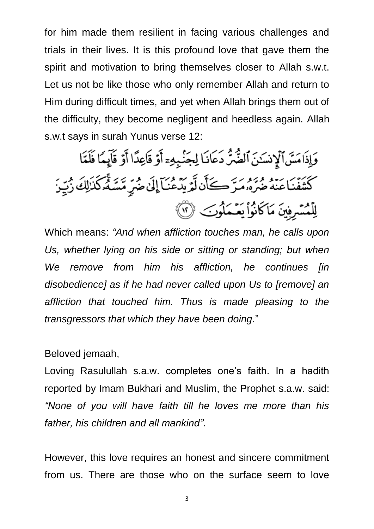for him made them resilient in facing various challenges and trials in their lives. It is this profound love that gave them the spirit and motivation to bring themselves closer to Allah s.w.t. Let us not be like those who only remember Allah and return to Him during difficult times, and yet when Allah brings them out of the difficulty, they become negligent and heedless again. Allah s.w.t says in surah Yunus verse 12:

وَإِذَامَسَ ٱلۡإِنسَـٰنَ ٱلضَّرِّ دَعَانَـا لِجَنْبِهِۦٓ أَوۡ قَاعِدًا أَوۡ قَآيِمًا فَلَمَّا كَتَنِفُّنَاعِنَهُ ضَرَّهُۥمَرَّكَأَن لَّمَّ يَدَّمُونَ)ۤ إِلَىٰ ضُرِّ مِّسَكُّرَكَٰذَٰلِكَ زُبِّيرَ لِلْمُسْرِفِينَ مَاكَانُواْ يَعْـمَلُوبَ ۞

Which means: *"And when affliction touches man, he calls upon*  Us, whether lying on his side or sitting or standing; but when *We remove from him his affliction, he continues [in disobedience] as if he had never called upon Us to [remove] an affliction that touched him. Thus is made pleasing to the transgressors that which they have been doing*."

Beloved jemaah,

Loving Rasulullah s.a.w. completes one's faith. In a hadith reported by Imam Bukhari and Muslim, the Prophet s.a.w. said: *"None of you will have faith till he loves me more than his father, his children and all mankind".*

However, this love requires an honest and sincere commitment from us. There are those who on the surface seem to love

3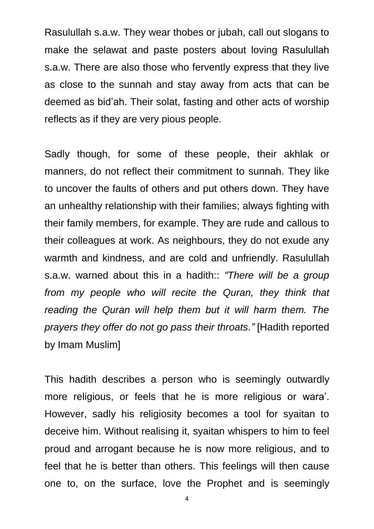Rasulullah s.a.w. They wear thobes or jubah, call out slogans to make the selawat and paste posters about loving Rasulullah s.a.w. There are also those who fervently express that they live as close to the sunnah and stay away from acts that can be deemed as bid'ah. Their solat, fasting and other acts of worship reflects as if they are very pious people.

Sadly though, for some of these people, their akhlak or manners, do not reflect their commitment to sunnah. They like to uncover the faults of others and put others down. They have an unhealthy relationship with their families; always fighting with their family members, for example. They are rude and callous to their colleagues at work. As neighbours, they do not exude any warmth and kindness, and are cold and unfriendly. Rasulullah s.a.w. warned about this in a hadith:: *"There will be a group*  from my people who will recite the Quran, they think that *reading the Quran will help them but it will harm them. The prayers they offer do not go pass their throats."* [Hadith reported by Imam Muslim]

This hadith describes a person who is seemingly outwardly more religious, or feels that he is more religious or wara'. However, sadly his religiosity becomes a tool for syaitan to deceive him. Without realising it, syaitan whispers to him to feel proud and arrogant because he is now more religious, and to feel that he is better than others. This feelings will then cause one to, on the surface, love the Prophet and is seemingly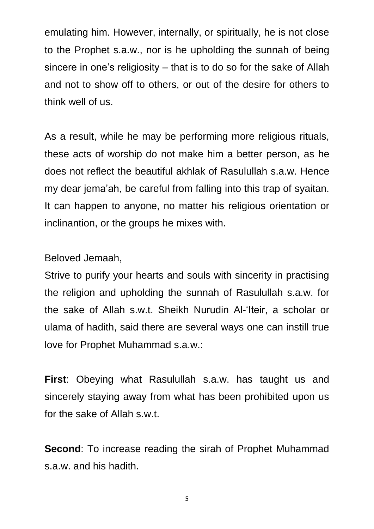emulating him. However, internally, or spiritually, he is not close to the Prophet s.a.w., nor is he upholding the sunnah of being sincere in one's religiosity – that is to do so for the sake of Allah and not to show off to others, or out of the desire for others to think well of us.

As a result, while he may be performing more religious rituals, these acts of worship do not make him a better person, as he does not reflect the beautiful akhlak of Rasulullah s.a.w. Hence my dear jema'ah, be careful from falling into this trap of syaitan. It can happen to anyone, no matter his religious orientation or inclinantion, or the groups he mixes with.

### Beloved Jemaah,

Strive to purify your hearts and souls with sincerity in practising the religion and upholding the sunnah of Rasulullah s.a.w. for the sake of Allah s.w.t. Sheikh Nurudin Al-'Iteir, a scholar or ulama of hadith, said there are several ways one can instill true love for Prophet Muhammad s.a.w.:

**First**: Obeying what Rasulullah s.a.w. has taught us and sincerely staying away from what has been prohibited upon us for the sake of Allah s.w.t.

**Second**: To increase reading the sirah of Prophet Muhammad s.a.w. and his hadith.

5